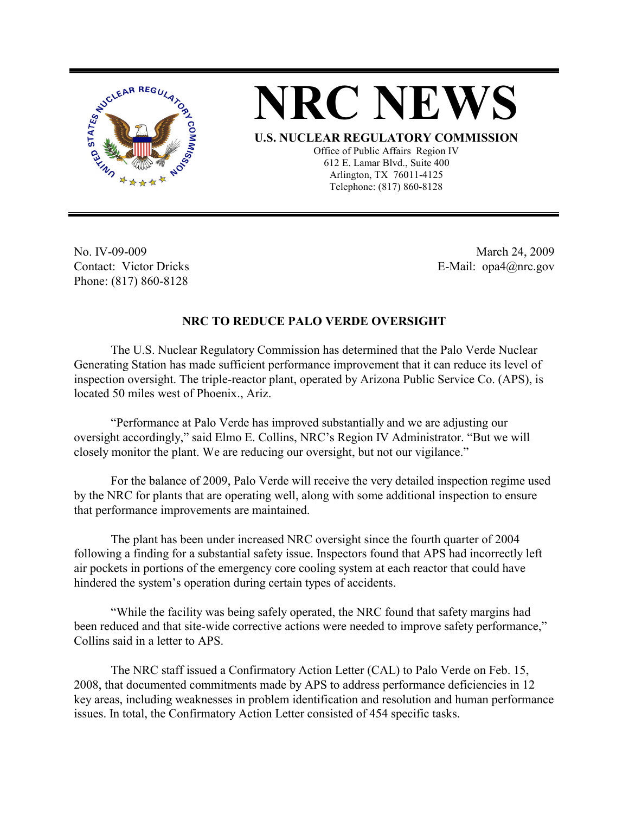



**U.S. NUCLEAR REGULATORY COMMISSION**

Office of Public Affairs Region IV 612 E. Lamar Blvd., Suite 400 Arlington, TX 76011-4125 Telephone: (817) 860-8128

No. IV-09-009 Contact: Victor Dricks Phone: (817) 860-8128

 March 24, 2009 E-Mail: opa4@nrc.gov

## **NRC TO REDUCE PALO VERDE OVERSIGHT**

The U.S. Nuclear Regulatory Commission has determined that the Palo Verde Nuclear Generating Station has made sufficient performance improvement that it can reduce its level of inspection oversight. The triple-reactor plant, operated by Arizona Public Service Co. (APS), is located 50 miles west of Phoenix., Ariz.

"Performance at Palo Verde has improved substantially and we are adjusting our oversight accordingly," said Elmo E. Collins, NRC's Region IV Administrator. "But we will closely monitor the plant. We are reducing our oversight, but not our vigilance."

For the balance of 2009, Palo Verde will receive the very detailed inspection regime used by the NRC for plants that are operating well, along with some additional inspection to ensure that performance improvements are maintained.

The plant has been under increased NRC oversight since the fourth quarter of 2004 following a finding for a substantial safety issue. Inspectors found that APS had incorrectly left air pockets in portions of the emergency core cooling system at each reactor that could have hindered the system's operation during certain types of accidents.

"While the facility was being safely operated, the NRC found that safety margins had been reduced and that site-wide corrective actions were needed to improve safety performance," Collins said in a letter to APS.

The NRC staff issued a Confirmatory Action Letter (CAL) to Palo Verde on Feb. 15, 2008, that documented commitments made by APS to address performance deficiencies in 12 key areas, including weaknesses in problem identification and resolution and human performance issues. In total, the Confirmatory Action Letter consisted of 454 specific tasks.